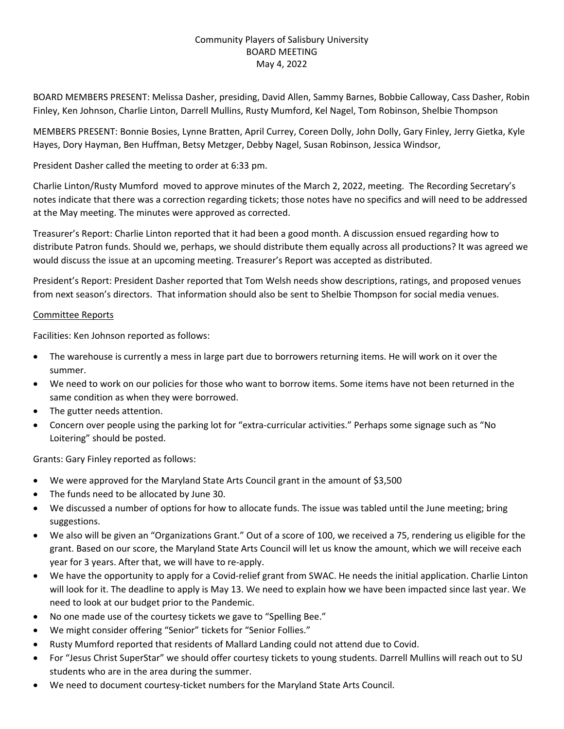# Community Players of Salisbury University BOARD MEETING May 4, 2022

BOARD MEMBERS PRESENT: Melissa Dasher, presiding, David Allen, Sammy Barnes, Bobbie Calloway, Cass Dasher, Robin Finley, Ken Johnson, Charlie Linton, Darrell Mullins, Rusty Mumford, Kel Nagel, Tom Robinson, Shelbie Thompson

MEMBERS PRESENT: Bonnie Bosies, Lynne Bratten, April Currey, Coreen Dolly, John Dolly, Gary Finley, Jerry Gietka, Kyle Hayes, Dory Hayman, Ben Huffman, Betsy Metzger, Debby Nagel, Susan Robinson, Jessica Windsor,

President Dasher called the meeting to order at 6:33 pm.

Charlie Linton/Rusty Mumford moved to approve minutes of the March 2, 2022, meeting. The Recording Secretary's notes indicate that there was a correction regarding tickets; those notes have no specifics and will need to be addressed at the May meeting. The minutes were approved as corrected.

Treasurer's Report: Charlie Linton reported that it had been a good month. A discussion ensued regarding how to distribute Patron funds. Should we, perhaps, we should distribute them equally across all productions? It was agreed we would discuss the issue at an upcoming meeting. Treasurer's Report was accepted as distributed.

President's Report: President Dasher reported that Tom Welsh needs show descriptions, ratings, and proposed venues from next season's directors. That information should also be sent to Shelbie Thompson for social media venues.

## Committee Reports

Facilities: Ken Johnson reported as follows:

- The warehouse is currently a mess in large part due to borrowers returning items. He will work on it over the summer.
- We need to work on our policies for those who want to borrow items. Some items have not been returned in the same condition as when they were borrowed.
- The gutter needs attention.
- Concern over people using the parking lot for "extra-curricular activities." Perhaps some signage such as "No Loitering" should be posted.

Grants: Gary Finley reported as follows:

- We were approved for the Maryland State Arts Council grant in the amount of \$3,500
- The funds need to be allocated by June 30.
- We discussed a number of options for how to allocate funds. The issue was tabled until the June meeting; bring suggestions.
- We also will be given an "Organizations Grant." Out of a score of 100, we received a 75, rendering us eligible for the grant. Based on our score, the Maryland State Arts Council will let us know the amount, which we will receive each year for 3 years. After that, we will have to re‐apply.
- We have the opportunity to apply for a Covid‐relief grant from SWAC. He needs the initial application. Charlie Linton will look for it. The deadline to apply is May 13. We need to explain how we have been impacted since last year. We need to look at our budget prior to the Pandemic.
- No one made use of the courtesy tickets we gave to "Spelling Bee."
- We might consider offering "Senior" tickets for "Senior Follies."
- Rusty Mumford reported that residents of Mallard Landing could not attend due to Covid.
- For "Jesus Christ SuperStar" we should offer courtesy tickets to young students. Darrell Mullins will reach out to SU students who are in the area during the summer.
- We need to document courtesy-ticket numbers for the Maryland State Arts Council.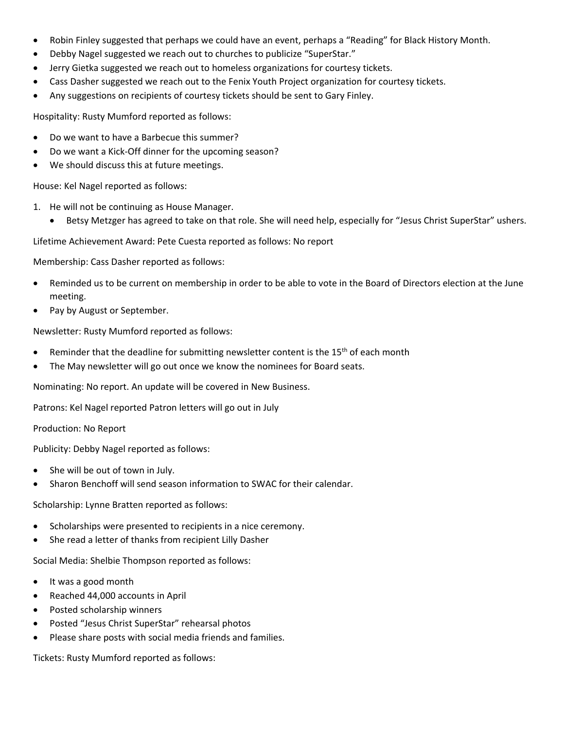- Robin Finley suggested that perhaps we could have an event, perhaps a "Reading" for Black History Month.
- Debby Nagel suggested we reach out to churches to publicize "SuperStar."
- Jerry Gietka suggested we reach out to homeless organizations for courtesy tickets.
- Cass Dasher suggested we reach out to the Fenix Youth Project organization for courtesy tickets.
- Any suggestions on recipients of courtesy tickets should be sent to Gary Finley.

Hospitality: Rusty Mumford reported as follows:

- Do we want to have a Barbecue this summer?
- Do we want a Kick-Off dinner for the upcoming season?
- We should discuss this at future meetings.

House: Kel Nagel reported as follows:

- 1. He will not be continuing as House Manager.
	- Betsy Metzger has agreed to take on that role. She will need help, especially for "Jesus Christ SuperStar" ushers.

Lifetime Achievement Award: Pete Cuesta reported as follows: No report

Membership: Cass Dasher reported as follows:

- Reminded us to be current on membership in order to be able to vote in the Board of Directors election at the June meeting.
- Pay by August or September.

Newsletter: Rusty Mumford reported as follows:

- Reminder that the deadline for submitting newsletter content is the  $15<sup>th</sup>$  of each month
- The May newsletter will go out once we know the nominees for Board seats.

Nominating: No report. An update will be covered in New Business.

Patrons: Kel Nagel reported Patron letters will go out in July

Production: No Report

Publicity: Debby Nagel reported as follows:

- She will be out of town in July.
- Sharon Benchoff will send season information to SWAC for their calendar.

Scholarship: Lynne Bratten reported as follows:

- Scholarships were presented to recipients in a nice ceremony.
- She read a letter of thanks from recipient Lilly Dasher

Social Media: Shelbie Thompson reported as follows:

- It was a good month
- Reached 44,000 accounts in April
- Posted scholarship winners
- Posted "Jesus Christ SuperStar" rehearsal photos
- Please share posts with social media friends and families.

Tickets: Rusty Mumford reported as follows: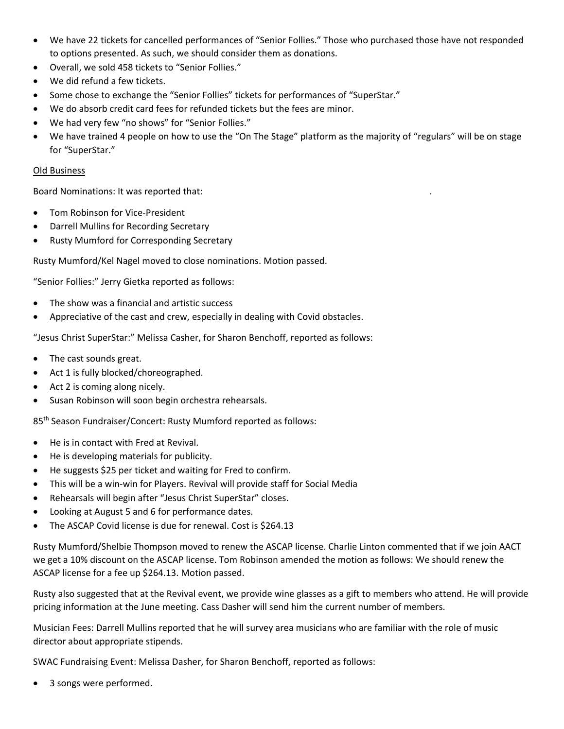- We have 22 tickets for cancelled performances of "Senior Follies." Those who purchased those have not responded to options presented. As such, we should consider them as donations.
- Overall, we sold 458 tickets to "Senior Follies."
- We did refund a few tickets.
- Some chose to exchange the "Senior Follies" tickets for performances of "SuperStar."
- We do absorb credit card fees for refunded tickets but the fees are minor.
- We had very few "no shows" for "Senior Follies."
- We have trained 4 people on how to use the "On The Stage" platform as the majority of "regulars" will be on stage for "SuperStar."

## Old Business

Board Nominations: It was reported that: .

- Tom Robinson for Vice‐President
- Darrell Mullins for Recording Secretary
- Rusty Mumford for Corresponding Secretary

Rusty Mumford/Kel Nagel moved to close nominations. Motion passed.

"Senior Follies:" Jerry Gietka reported as follows:

- The show was a financial and artistic success
- Appreciative of the cast and crew, especially in dealing with Covid obstacles.

"Jesus Christ SuperStar:" Melissa Casher, for Sharon Benchoff, reported as follows:

- The cast sounds great.
- Act 1 is fully blocked/choreographed.
- Act 2 is coming along nicely.
- Susan Robinson will soon begin orchestra rehearsals.

85th Season Fundraiser/Concert: Rusty Mumford reported as follows:

- He is in contact with Fred at Revival.
- He is developing materials for publicity.
- He suggests \$25 per ticket and waiting for Fred to confirm.
- This will be a win‐win for Players. Revival will provide staff for Social Media
- Rehearsals will begin after "Jesus Christ SuperStar" closes.
- Looking at August 5 and 6 for performance dates.
- The ASCAP Covid license is due for renewal. Cost is \$264.13

Rusty Mumford/Shelbie Thompson moved to renew the ASCAP license. Charlie Linton commented that if we join AACT we get a 10% discount on the ASCAP license. Tom Robinson amended the motion as follows: We should renew the ASCAP license for a fee up \$264.13. Motion passed.

Rusty also suggested that at the Revival event, we provide wine glasses as a gift to members who attend. He will provide pricing information at the June meeting. Cass Dasher will send him the current number of members.

Musician Fees: Darrell Mullins reported that he will survey area musicians who are familiar with the role of music director about appropriate stipends.

SWAC Fundraising Event: Melissa Dasher, for Sharon Benchoff, reported as follows:

3 songs were performed.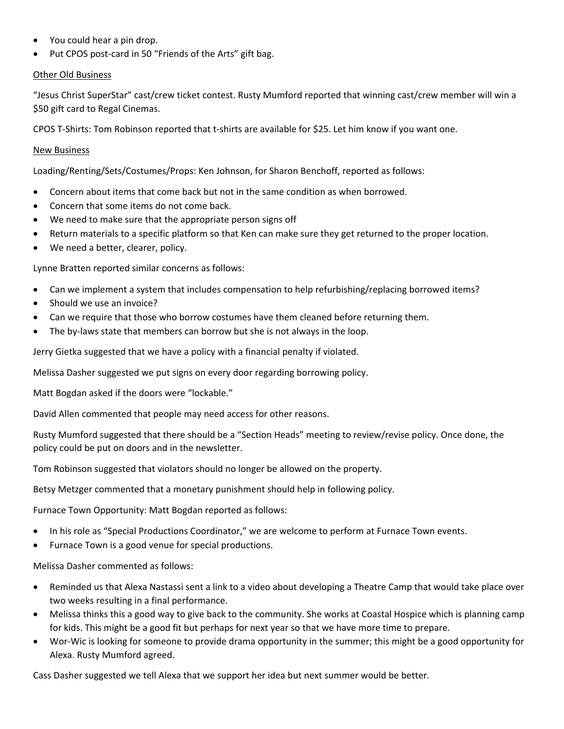- You could hear a pin drop.
- Put CPOS post-card in 50 "Friends of the Arts" gift bag.

#### Other Old Business

"Jesus Christ SuperStar" cast/crew ticket contest. Rusty Mumford reported that winning cast/crew member will win a \$50 gift card to Regal Cinemas.

CPOS T‐Shirts: Tom Robinson reported that t‐shirts are available for \$25. Let him know if you want one.

## New Business

Loading/Renting/Sets/Costumes/Props: Ken Johnson, for Sharon Benchoff, reported as follows:

- Concern about items that come back but not in the same condition as when borrowed.
- Concern that some items do not come back.
- We need to make sure that the appropriate person signs off
- Return materials to a specific platform so that Ken can make sure they get returned to the proper location.
- We need a better, clearer, policy.

Lynne Bratten reported similar concerns as follows:

- Can we implement a system that includes compensation to help refurbishing/replacing borrowed items?
- Should we use an invoice?
- Can we require that those who borrow costumes have them cleaned before returning them.
- The by-laws state that members can borrow but she is not always in the loop.

Jerry Gietka suggested that we have a policy with a financial penalty if violated.

Melissa Dasher suggested we put signs on every door regarding borrowing policy.

Matt Bogdan asked if the doors were "lockable."

David Allen commented that people may need access for other reasons.

Rusty Mumford suggested that there should be a "Section Heads" meeting to review/revise policy. Once done, the policy could be put on doors and in the newsletter.

Tom Robinson suggested that violators should no longer be allowed on the property.

Betsy Metzger commented that a monetary punishment should help in following policy.

Furnace Town Opportunity: Matt Bogdan reported as follows:

- In his role as "Special Productions Coordinator," we are welcome to perform at Furnace Town events.
- Furnace Town is a good venue for special productions.

Melissa Dasher commented as follows:

- Reminded us that Alexa Nastassi sent a link to a video about developing a Theatre Camp that would take place over two weeks resulting in a final performance.
- Melissa thinks this a good way to give back to the community. She works at Coastal Hospice which is planning camp for kids. This might be a good fit but perhaps for next year so that we have more time to prepare.
- Wor‐Wic is looking for someone to provide drama opportunity in the summer; this might be a good opportunity for Alexa. Rusty Mumford agreed.

Cass Dasher suggested we tell Alexa that we support her idea but next summer would be better.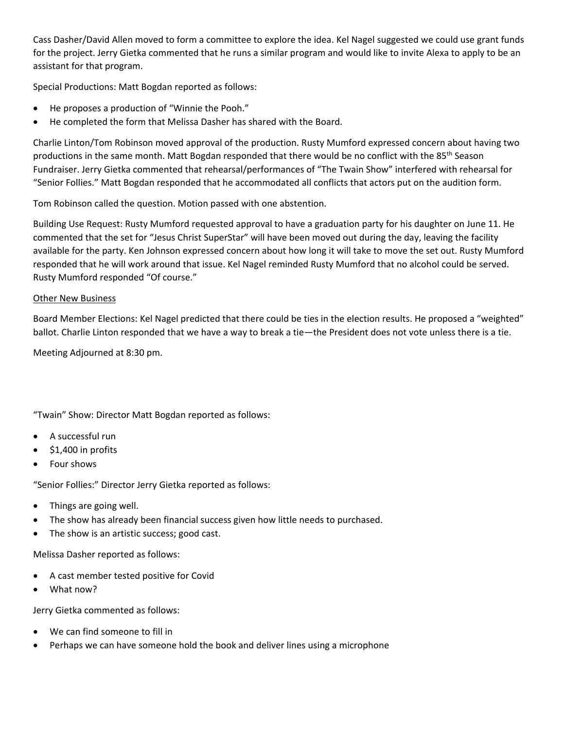Cass Dasher/David Allen moved to form a committee to explore the idea. Kel Nagel suggested we could use grant funds for the project. Jerry Gietka commented that he runs a similar program and would like to invite Alexa to apply to be an assistant for that program.

Special Productions: Matt Bogdan reported as follows:

- He proposes a production of "Winnie the Pooh."
- He completed the form that Melissa Dasher has shared with the Board.

Charlie Linton/Tom Robinson moved approval of the production. Rusty Mumford expressed concern about having two productions in the same month. Matt Bogdan responded that there would be no conflict with the 85<sup>th</sup> Season Fundraiser. Jerry Gietka commented that rehearsal/performances of "The Twain Show" interfered with rehearsal for "Senior Follies." Matt Bogdan responded that he accommodated all conflicts that actors put on the audition form.

Tom Robinson called the question. Motion passed with one abstention.

Building Use Request: Rusty Mumford requested approval to have a graduation party for his daughter on June 11. He commented that the set for "Jesus Christ SuperStar" will have been moved out during the day, leaving the facility available for the party. Ken Johnson expressed concern about how long it will take to move the set out. Rusty Mumford responded that he will work around that issue. Kel Nagel reminded Rusty Mumford that no alcohol could be served. Rusty Mumford responded "Of course."

## Other New Business

Board Member Elections: Kel Nagel predicted that there could be ties in the election results. He proposed a "weighted" ballot. Charlie Linton responded that we have a way to break a tie—the President does not vote unless there is a tie.

Meeting Adjourned at 8:30 pm.

"Twain" Show: Director Matt Bogdan reported as follows:

- A successful run
- \$1,400 in profits
- Four shows

"Senior Follies:" Director Jerry Gietka reported as follows:

- Things are going well.
- The show has already been financial success given how little needs to purchased.
- The show is an artistic success; good cast.

Melissa Dasher reported as follows:

- A cast member tested positive for Covid
- What now?

Jerry Gietka commented as follows:

- We can find someone to fill in
- Perhaps we can have someone hold the book and deliver lines using a microphone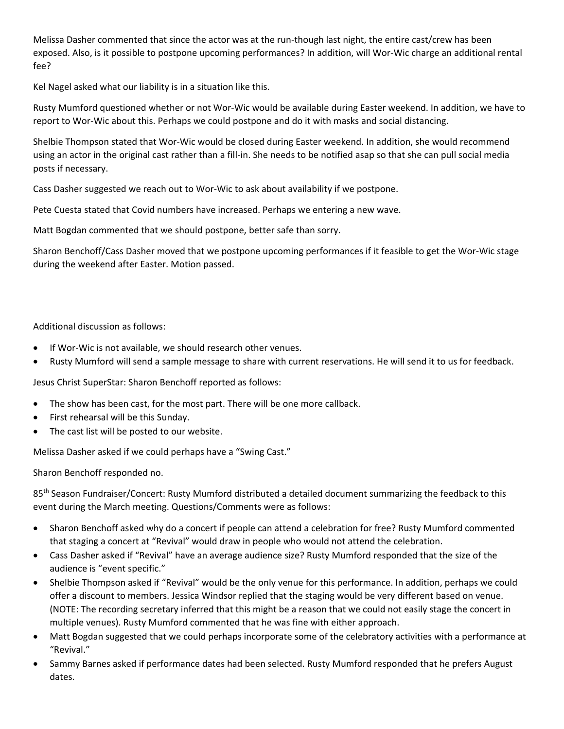Melissa Dasher commented that since the actor was at the run-though last night, the entire cast/crew has been exposed. Also, is it possible to postpone upcoming performances? In addition, will Wor‐Wic charge an additional rental fee?

Kel Nagel asked what our liability is in a situation like this.

Rusty Mumford questioned whether or not Wor‐Wic would be available during Easter weekend. In addition, we have to report to Wor‐Wic about this. Perhaps we could postpone and do it with masks and social distancing.

Shelbie Thompson stated that Wor‐Wic would be closed during Easter weekend. In addition, she would recommend using an actor in the original cast rather than a fill‐in. She needs to be notified asap so that she can pull social media posts if necessary.

Cass Dasher suggested we reach out to Wor‐Wic to ask about availability if we postpone.

Pete Cuesta stated that Covid numbers have increased. Perhaps we entering a new wave.

Matt Bogdan commented that we should postpone, better safe than sorry.

Sharon Benchoff/Cass Dasher moved that we postpone upcoming performances if it feasible to get the Wor‐Wic stage during the weekend after Easter. Motion passed.

Additional discussion as follows:

- If Wor-Wic is not available, we should research other venues.
- Rusty Mumford will send a sample message to share with current reservations. He will send it to us for feedback.

Jesus Christ SuperStar: Sharon Benchoff reported as follows:

- The show has been cast, for the most part. There will be one more callback.
- First rehearsal will be this Sunday.
- The cast list will be posted to our website.

Melissa Dasher asked if we could perhaps have a "Swing Cast."

Sharon Benchoff responded no.

85<sup>th</sup> Season Fundraiser/Concert: Rusty Mumford distributed a detailed document summarizing the feedback to this event during the March meeting. Questions/Comments were as follows:

- Sharon Benchoff asked why do a concert if people can attend a celebration for free? Rusty Mumford commented that staging a concert at "Revival" would draw in people who would not attend the celebration.
- Cass Dasher asked if "Revival" have an average audience size? Rusty Mumford responded that the size of the audience is "event specific."
- Shelbie Thompson asked if "Revival" would be the only venue for this performance. In addition, perhaps we could offer a discount to members. Jessica Windsor replied that the staging would be very different based on venue. (NOTE: The recording secretary inferred that this might be a reason that we could not easily stage the concert in multiple venues). Rusty Mumford commented that he was fine with either approach.
- Matt Bogdan suggested that we could perhaps incorporate some of the celebratory activities with a performance at "Revival."
- Sammy Barnes asked if performance dates had been selected. Rusty Mumford responded that he prefers August dates.